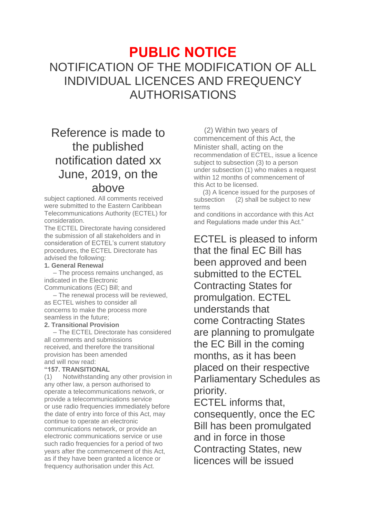# **PUBLIC NOTICE** NOTIFICATION OF THE MODIFICATION OF ALL INDIVIDUAL LICENCES AND FREQUENCY AUTHORISATIONS

# Reference is made to the published notification dated xx June, 2019, on the above

subject captioned. All comments received were submitted to the Eastern Caribbean Telecommunications Authority (ECTEL) for consideration.

The ECTEL Directorate having considered the submission of all stakeholders and in consideration of ECTEL's current statutory procedures, the ECTEL Directorate has advised the following:

#### **1. General Renewal**

– The process remains unchanged, as indicated in the Electronic

Communications (EC) Bill; and – The renewal process will be reviewed,

as ECTEL wishes to consider all concerns to make the process more seamless in the future;

## **2. Transitional Provision**

– The ECTEL Directorate has considered all comments and submissions received, and therefore the transitional provision has been amended and will now read:

## **"157. TRANSITIONAL**

(1) Notwithstanding any other provision in any other law, a person authorised to operate a telecommunications network, or provide a telecommunications service or use radio frequencies immediately before the date of entry into force of this Act, may continue to operate an electronic communications network, or provide an electronic communications service or use such radio frequencies for a period of two years after the commencement of this Act, as if they have been granted a licence or frequency authorisation under this Act.

(2) Within two years of commencement of this Act, the Minister shall, acting on the recommendation of ECTEL, issue a licence subject to subsection (3) to a person under subsection (1) who makes a request within 12 months of commencement of this Act to be licensed.

(3) A licence issued for the purposes of subsection (2) shall be subject to new terms

and conditions in accordance with this Act and Regulations made under this Act."

ECTEL is pleased to inform that the final EC Bill has been approved and been submitted to the ECTEL Contracting States for promulgation. ECTEL understands that come Contracting States are planning to promulgate the EC Bill in the coming months, as it has been placed on their respective Parliamentary Schedules as priority.

ECTEL informs that, consequently, once the EC Bill has been promulgated and in force in those Contracting States, new licences will be issued